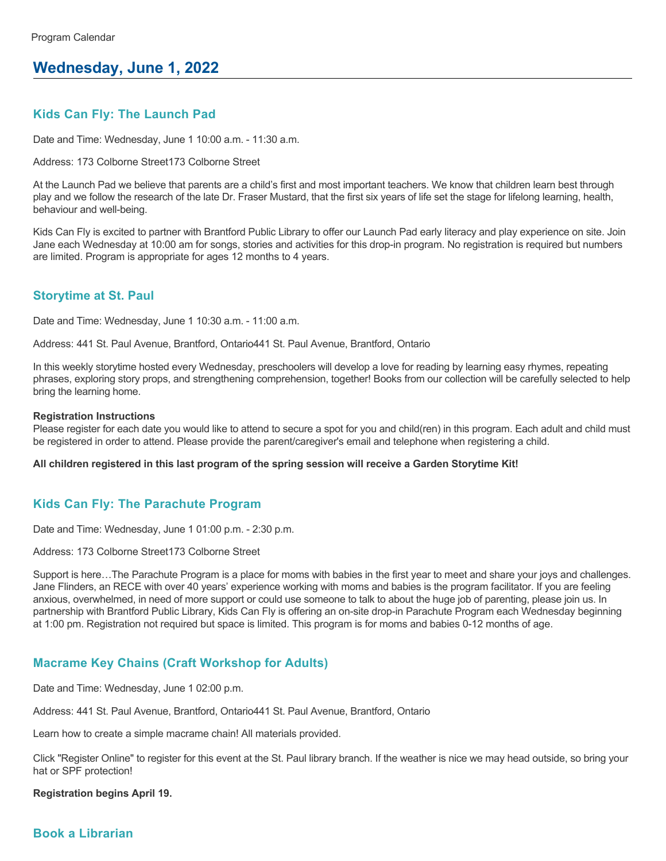# **Wednesday, June 1, 2022**

## **Kids Can Fly: The Launch Pad**

Date and Time: Wednesday, June 1 10:00 a.m. - 11:30 a.m.

Address: 173 Colborne Street173 Colborne Street

At the Launch Pad we believe that parents are a child's first and most important teachers. We know that children learn best through play and we follow the research of the late Dr. Fraser Mustard, that the first six years of life set the stage for lifelong learning, health, behaviour and well-being.

Kids Can Fly is excited to partner with Brantford Public Library to offer our Launch Pad early literacy and play experience on site. Join Jane each Wednesday at 10:00 am for songs, stories and activities for this drop-in program. No registration is required but numbers are limited. Program is appropriate for ages 12 months to 4 years.

#### **Storytime at St. Paul**

Date and Time: Wednesday, June 1 10:30 a.m. - 11:00 a.m.

Address: 441 St. Paul Avenue, Brantford, Ontario441 St. Paul Avenue, Brantford, Ontario

In this weekly storytime hosted every Wednesday, preschoolers will develop a love for reading by learning easy rhymes, repeating phrases, exploring story props, and strengthening comprehension, together! Books from our collection will be carefully selected to help bring the learning home.

#### **Registration Instructions**

Please register for each date you would like to attend to secure a spot for you and child(ren) in this program. Each adult and child must be registered in order to attend. Please provide the parent/caregiver's email and telephone when registering a child.

**All children registered in this last program of the spring session will receive a Garden Storytime Kit!**

### **Kids Can Fly: The Parachute Program**

Date and Time: Wednesday, June 1 01:00 p.m. - 2:30 p.m.

Address: 173 Colborne Street173 Colborne Street

Support is here…The Parachute Program is a place for moms with babies in the first year to meet and share your joys and challenges. Jane Flinders, an RECE with over 40 years' experience working with moms and babies is the program facilitator. If you are feeling anxious, overwhelmed, in need of more support or could use someone to talk to about the huge job of parenting, please join us. In partnership with Brantford Public Library, Kids Can Fly is offering an on-site drop-in Parachute Program each Wednesday beginning at 1:00 pm. Registration not required but space is limited. This program is for moms and babies 0-12 months of age.

### **Macrame Key Chains (Craft Workshop for Adults)**

Date and Time: Wednesday, June 1 02:00 p.m.

Address: 441 St. Paul Avenue, Brantford, Ontario441 St. Paul Avenue, Brantford, Ontario

Learn how to create a simple macrame chain! All materials provided.

Click "Register Online" to register for this event at the St. Paul library branch. If the weather is nice we may head outside, so bring your hat or SPF protection!

#### **Registration begins April 19.**

### **Book a Librarian**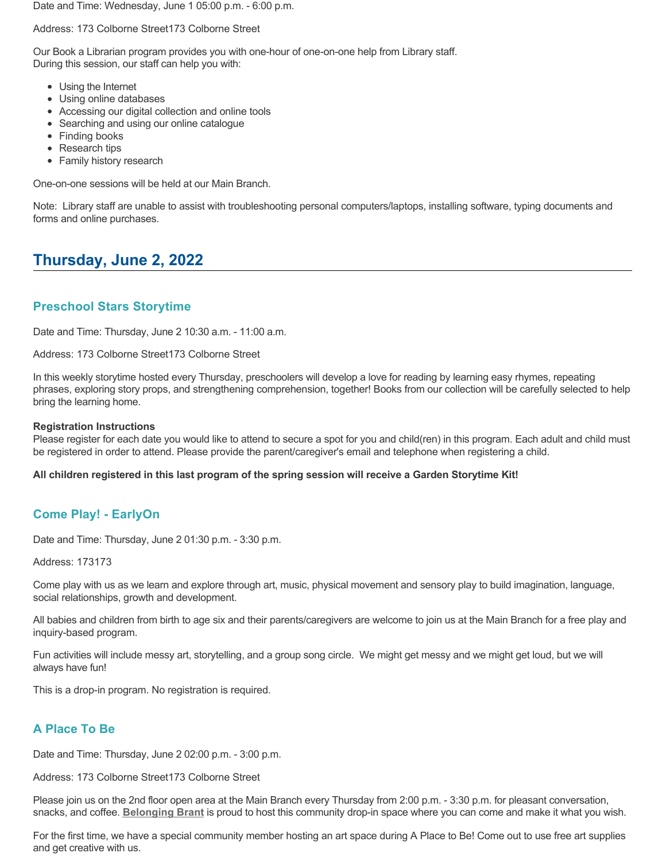Date and Time: Wednesday, June 1 05:00 p.m. - 6:00 p.m.

Address: 173 Colborne Street173 Colborne Street

Our Book a Librarian program provides you with one-hour of one-on-one help from Library staff. During this session, our staff can help you with:

- Using the Internet
- Using online databases
- Accessing our digital collection and online tools
- Searching and using our online catalogue
- Finding books
- Research tips
- Family history research

One-on-one sessions will be held at our Main Branch.

Note: Library staff are unable to assist with troubleshooting personal computers/laptops, installing software, typing documents and forms and online purchases.

# **Thursday, June 2, 2022**

### **Preschool Stars Storytime**

Date and Time: Thursday, June 2 10:30 a.m. - 11:00 a.m.

Address: 173 Colborne Street173 Colborne Street

In this weekly storytime hosted every Thursday, preschoolers will develop a love for reading by learning easy rhymes, repeating phrases, exploring story props, and strengthening comprehension, together! Books from our collection will be carefully selected to help bring the learning home.

#### **Registration Instructions**

Please register for each date you would like to attend to secure a spot for you and child(ren) in this program. Each adult and child must be registered in order to attend. Please provide the parent/caregiver's email and telephone when registering a child.

**All children registered in this last program of the spring session will receive a Garden Storytime Kit!**

### **Come Play! - EarlyOn**

Date and Time: Thursday, June 2 01:30 p.m. - 3:30 p.m.

Address: 173173

Come play with us as we learn and explore through art, music, physical movement and sensory play to build imagination, language, social relationships, growth and development.

All babies and children from birth to age six and their parents/caregivers are welcome to join us at the Main Branch for a free play and inquiry-based program.

Fun activities will include messy art, storytelling, and a group song circle. We might get messy and we might get loud, but we will always have fun!

This is a drop-in program. No registration is required.

### **A Place To Be**

Date and Time: Thursday, June 2 02:00 p.m. - 3:00 p.m.

Address: 173 Colborne Street173 Colborne Street

Please join us on the 2nd floor open area at the Main Branch every Thursday from 2:00 p.m. - 3:30 p.m. for pleasant conversation, snacks, and coffee. **[Belonging Brant](https://www.facebook.com/BelongingBrant/)** is proud to host this community drop-in space where you can come and make it what you wish.

For the first time, we have a special community member hosting an art space during A Place to Be! Come out to use free art supplies and get creative with us.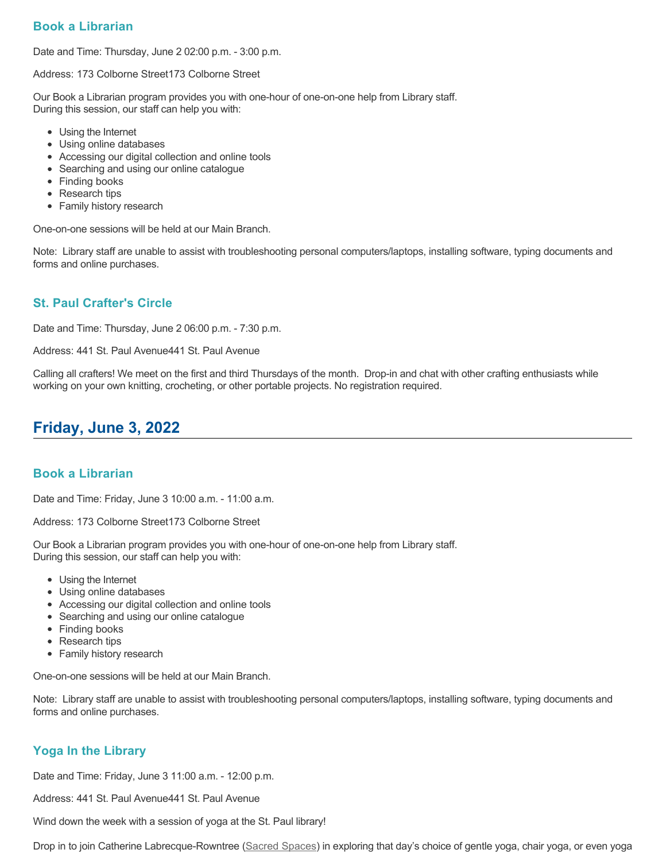### **Book a Librarian**

Date and Time: Thursday, June 2 02:00 p.m. - 3:00 p.m.

Address: 173 Colborne Street173 Colborne Street

Our Book a Librarian program provides you with one-hour of one-on-one help from Library staff. During this session, our staff can help you with:

- Using the Internet
- Using online databases
- Accessing our digital collection and online tools
- Searching and using our online catalogue
- Finding books
- Research tips
- Family history research

One-on-one sessions will be held at our Main Branch.

Note: Library staff are unable to assist with troubleshooting personal computers/laptops, installing software, typing documents and forms and online purchases.

### **St. Paul Crafter's Circle**

Date and Time: Thursday, June 2 06:00 p.m. - 7:30 p.m.

Address: 441 St. Paul Avenue441 St. Paul Avenue

Calling all crafters! We meet on the first and third Thursdays of the month. Drop-in and chat with other crafting enthusiasts while working on your own knitting, crocheting, or other portable projects. No registration required.

# **Friday, June 3, 2022**

#### **Book a Librarian**

Date and Time: Friday, June 3 10:00 a.m. - 11:00 a.m.

Address: 173 Colborne Street173 Colborne Street

Our Book a Librarian program provides you with one-hour of one-on-one help from Library staff. During this session, our staff can help you with:

- Using the Internet
- Using online databases
- Accessing our digital collection and online tools
- Searching and using our online catalogue
- Finding books
- Research tips
- Family history research

One-on-one sessions will be held at our Main Branch.

Note: Library staff are unable to assist with troubleshooting personal computers/laptops, installing software, typing documents and forms and online purchases.

### **Yoga In the Library**

Date and Time: Friday, June 3 11:00 a.m. - 12:00 p.m.

Address: 441 St. Paul Avenue441 St. Paul Avenue

Wind down the week with a session of yoga at the St. Paul library!

Drop in to join Catherine Labrecque-Rowntree ([Sacred Spaces](https://www.sacredspacesbrantford.ca/)) in exploring that day's choice of gentle yoga, chair yoga, or even yoga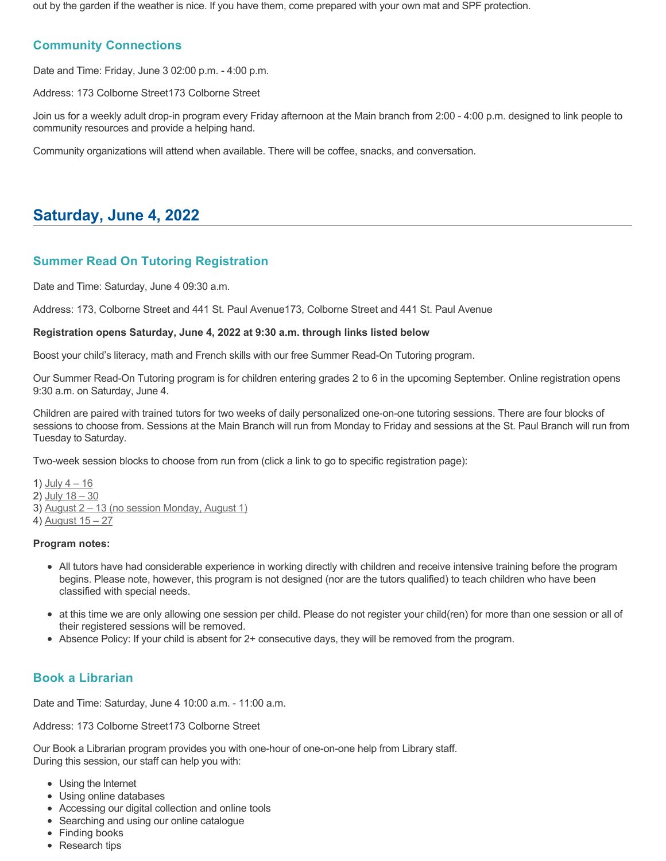out by the garden if the weather is nice. If you have them, come prepared with your own mat and SPF protection.

### **Community Connections**

Date and Time: Friday, June 3 02:00 p.m. - 4:00 p.m.

Address: 173 Colborne Street173 Colborne Street

Join us for a weekly adult drop-in program every Friday afternoon at the Main branch from 2:00 - 4:00 p.m. designed to link people to community resources and provide a helping hand.

Community organizations will attend when available. There will be coffee, snacks, and conversation.

# **Saturday, June 4, 2022**

### **Summer Read On Tutoring Registration**

Date and Time: Saturday, June 4 09:30 a.m.

Address: 173, Colborne Street and 441 St. Paul Avenue173, Colborne Street and 441 St. Paul Avenue

#### **Registration opens Saturday, June 4, 2022 at 9:30 a.m. through links listed below**

Boost your child's literacy, math and French skills with our free Summer Read-On Tutoring program.

Our Summer Read-On Tutoring program is for children entering grades 2 to 6 in the upcoming September. Online registration opens 9:30 a.m. on Saturday, June 4.

Children are paired with trained tutors for two weeks of daily personalized one-on-one tutoring sessions. There are four blocks of sessions to choose from. Sessions at the Main Branch will run from Monday to Friday and sessions at the St. Paul Branch will run from Tuesday to Saturday.

Two-week session blocks to choose from run from (click a link to go to specific registration page):

1)  $July 4 - 16$  $2)$  July  $18 - 30$ 3) August 2 - 13 (no session Monday, August 1) 4) [August 15 – 27](https://www.eventbrite.ca/e/read-on-summer-tutoring-2022-session-4-august-15-27-tickets-354627369007)

#### **Program notes:**

- All tutors have had considerable experience in working directly with children and receive intensive training before the program begins. Please note, however, this program is not designed (nor are the tutors qualified) to teach children who have been classified with special needs.
- at this time we are only allowing one session per child. Please do not register your child(ren) for more than one session or all of their registered sessions will be removed.
- Absence Policy: If your child is absent for 2+ consecutive days, they will be removed from the program.

### **Book a Librarian**

Date and Time: Saturday, June 4 10:00 a.m. - 11:00 a.m.

Address: 173 Colborne Street173 Colborne Street

- Using the Internet
- Using online databases
- Accessing our digital collection and online tools
- Searching and using our online catalogue
- Finding books
- Research tips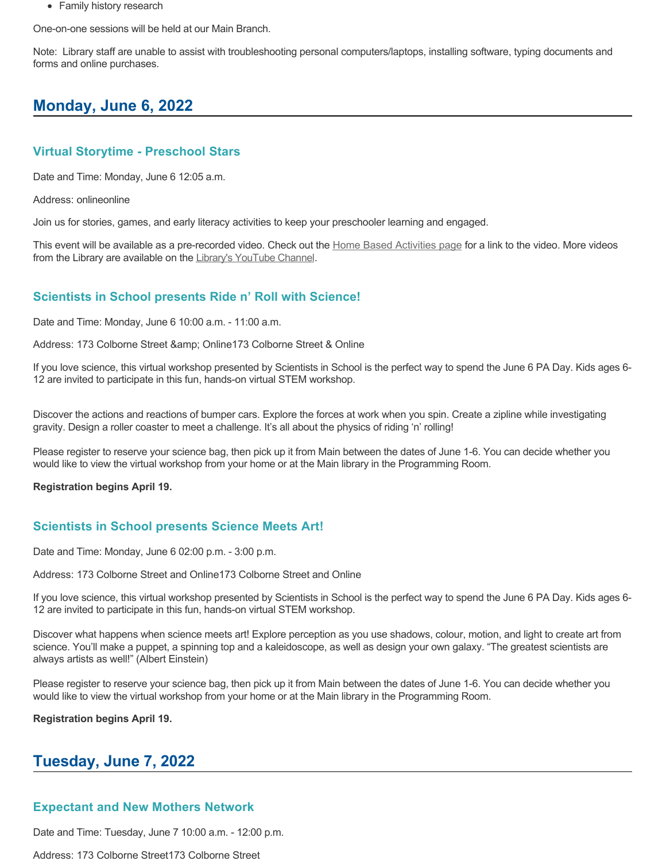• Family history research

One-on-one sessions will be held at our Main Branch.

Note: Library staff are unable to assist with troubleshooting personal computers/laptops, installing software, typing documents and forms and online purchases.

# **Monday, June 6, 2022**

#### **Virtual Storytime - Preschool Stars**

Date and Time: Monday, June 6 12:05 a.m.

Address: onlineonline

Join us for stories, games, and early literacy activities to keep your preschooler learning and engaged.

This event will be available as a pre-recorded video. Check out the [Home Based Activities page](https://www.brantfordlibrary.ca/en/whats-happening/home-based-activities.aspx) for a link to the video. More videos from the Library are available on the [Library's YouTube Channel](https://www.youtube.com/channel/UCgB9YZwbhK6j8RpKnBv4oRw).

### **Scientists in School presents Ride n' Roll with Science!**

Date and Time: Monday, June 6 10:00 a.m. - 11:00 a.m.

Address: 173 Colborne Street & Online173 Colborne Street & Online

If you love science, this virtual workshop presented by Scientists in School is the perfect way to spend the June 6 PA Day. Kids ages 6- 12 are invited to participate in this fun, hands-on virtual STEM workshop.

Discover the actions and reactions of bumper cars. Explore the forces at work when you spin. Create a zipline while investigating gravity. Design a roller coaster to meet a challenge. It's all about the physics of riding 'n' rolling!

Please register to reserve your science bag, then pick up it from Main between the dates of June 1-6. You can decide whether you would like to view the virtual workshop from your home or at the Main library in the Programming Room.

#### **Registration begins April 19.**

### **Scientists in School presents Science Meets Art!**

Date and Time: Monday, June 6 02:00 p.m. - 3:00 p.m.

Address: 173 Colborne Street and Online173 Colborne Street and Online

If you love science, this virtual workshop presented by Scientists in School is the perfect way to spend the June 6 PA Day. Kids ages 6- 12 are invited to participate in this fun, hands-on virtual STEM workshop.

Discover what happens when science meets art! Explore perception as you use shadows, colour, motion, and light to create art from science. You'll make a puppet, a spinning top and a kaleidoscope, as well as design your own galaxy. "The greatest scientists are always artists as well!" (Albert Einstein)

Please register to reserve your science bag, then pick up it from Main between the dates of June 1-6. You can decide whether you would like to view the virtual workshop from your home or at the Main library in the Programming Room.

**Registration begins April 19.**

## **Tuesday, June 7, 2022**

### **Expectant and New Mothers Network**

Date and Time: Tuesday, June 7 10:00 a.m. - 12:00 p.m.

Address: 173 Colborne Street173 Colborne Street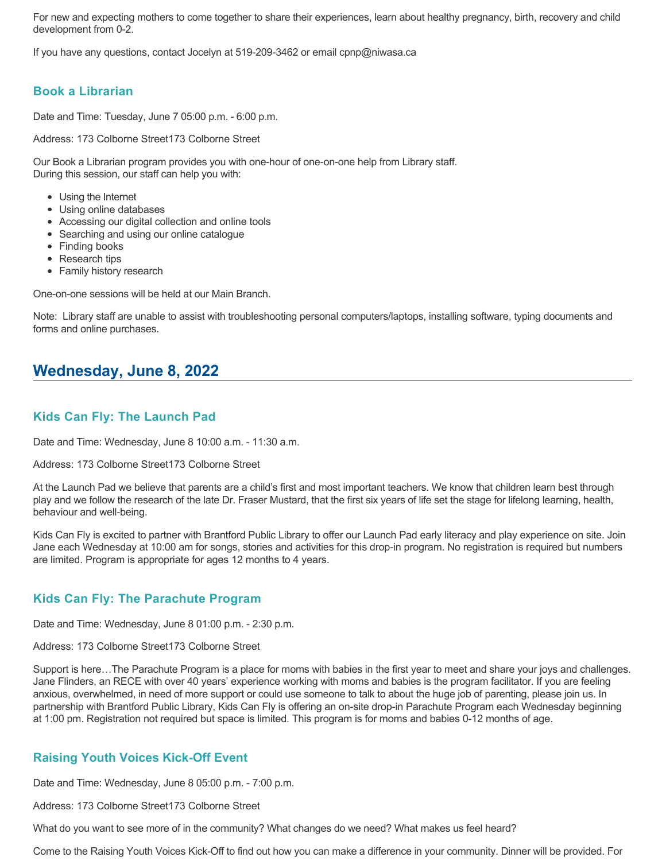For new and expecting mothers to come together to share their experiences, learn about healthy pregnancy, birth, recovery and child development from 0-2.

If you have any questions, contact Jocelyn at 519-209-3462 or email cpnp@niwasa.ca

### **Book a Librarian**

Date and Time: Tuesday, June 7 05:00 p.m. - 6:00 p.m.

Address: 173 Colborne Street173 Colborne Street

Our Book a Librarian program provides you with one-hour of one-on-one help from Library staff. During this session, our staff can help you with:

- Using the Internet
- Using online databases
- Accessing our digital collection and online tools
- Searching and using our online catalogue
- Finding books
- Research tips
- Family history research

One-on-one sessions will be held at our Main Branch.

Note: Library staff are unable to assist with troubleshooting personal computers/laptops, installing software, typing documents and forms and online purchases.

## **Wednesday, June 8, 2022**

### **Kids Can Fly: The Launch Pad**

Date and Time: Wednesday, June 8 10:00 a.m. - 11:30 a.m.

Address: 173 Colborne Street173 Colborne Street

At the Launch Pad we believe that parents are a child's first and most important teachers. We know that children learn best through play and we follow the research of the late Dr. Fraser Mustard, that the first six years of life set the stage for lifelong learning, health, behaviour and well-being.

Kids Can Fly is excited to partner with Brantford Public Library to offer our Launch Pad early literacy and play experience on site. Join Jane each Wednesday at 10:00 am for songs, stories and activities for this drop-in program. No registration is required but numbers are limited. Program is appropriate for ages 12 months to 4 years.

### **Kids Can Fly: The Parachute Program**

Date and Time: Wednesday, June 8 01:00 p.m. - 2:30 p.m.

Address: 173 Colborne Street173 Colborne Street

Support is here…The Parachute Program is a place for moms with babies in the first year to meet and share your joys and challenges. Jane Flinders, an RECE with over 40 years' experience working with moms and babies is the program facilitator. If you are feeling anxious, overwhelmed, in need of more support or could use someone to talk to about the huge job of parenting, please join us. In partnership with Brantford Public Library, Kids Can Fly is offering an on-site drop-in Parachute Program each Wednesday beginning at 1:00 pm. Registration not required but space is limited. This program is for moms and babies 0-12 months of age.

### **Raising Youth Voices Kick-Off Event**

Date and Time: Wednesday, June 8 05:00 p.m. - 7:00 p.m.

Address: 173 Colborne Street173 Colborne Street

What do you want to see more of in the community? What changes do we need? What makes us feel heard?

Come to the Raising Youth Voices Kick-Off to find out how you can make a difference in your community. Dinner will be provided. For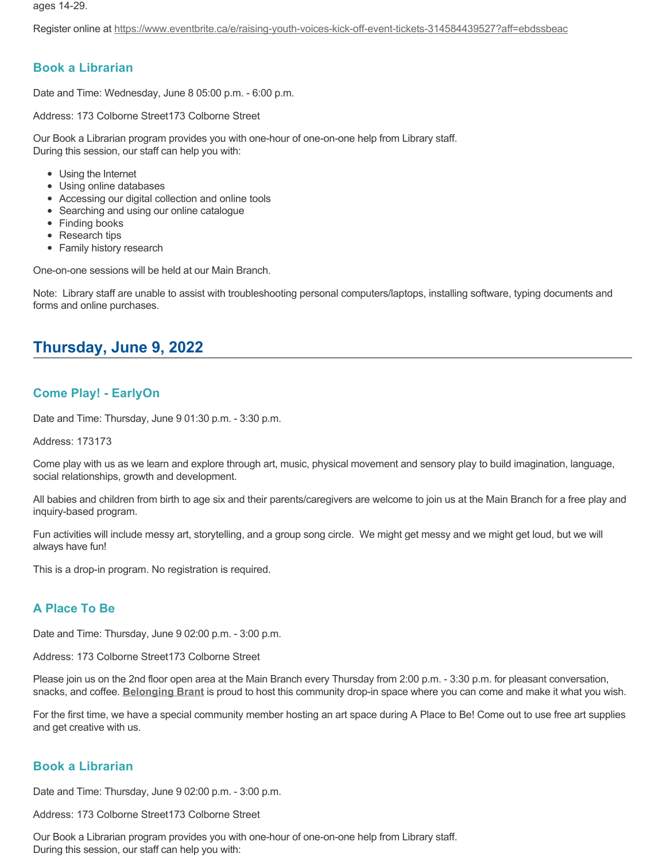ages 14-29.

Register online at<https://www.eventbrite.ca/e/raising-youth-voices-kick-off-event-tickets-314584439527?aff=ebdssbeac>

#### **Book a Librarian**

Date and Time: Wednesday, June 8 05:00 p.m. - 6:00 p.m.

Address: 173 Colborne Street173 Colborne Street

Our Book a Librarian program provides you with one-hour of one-on-one help from Library staff. During this session, our staff can help you with:

- Using the Internet
- Using online databases
- Accessing our digital collection and online tools
- Searching and using our online catalogue
- Finding books
- Research tips
- Family history research

One-on-one sessions will be held at our Main Branch.

Note: Library staff are unable to assist with troubleshooting personal computers/laptops, installing software, typing documents and forms and online purchases.

## **Thursday, June 9, 2022**

### **Come Play! - EarlyOn**

Date and Time: Thursday, June 9 01:30 p.m. - 3:30 p.m.

Address: 173173

Come play with us as we learn and explore through art, music, physical movement and sensory play to build imagination, language, social relationships, growth and development.

All babies and children from birth to age six and their parents/caregivers are welcome to join us at the Main Branch for a free play and inquiry-based program.

Fun activities will include messy art, storytelling, and a group song circle. We might get messy and we might get loud, but we will always have fun!

This is a drop-in program. No registration is required.

### **A Place To Be**

Date and Time: Thursday, June 9 02:00 p.m. - 3:00 p.m.

Address: 173 Colborne Street173 Colborne Street

Please join us on the 2nd floor open area at the Main Branch every Thursday from 2:00 p.m. - 3:30 p.m. for pleasant conversation, snacks, and coffee. **[Belonging Brant](https://www.facebook.com/BelongingBrant/)** is proud to host this community drop-in space where you can come and make it what you wish.

For the first time, we have a special community member hosting an art space during A Place to Be! Come out to use free art supplies and get creative with us.

## **Book a Librarian**

Date and Time: Thursday, June 9 02:00 p.m. - 3:00 p.m.

Address: 173 Colborne Street173 Colborne Street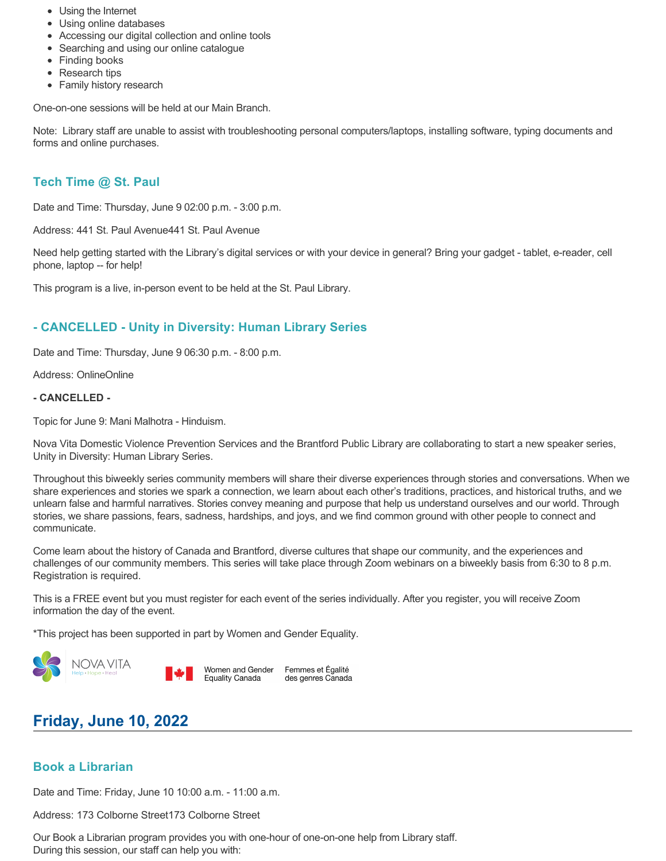- Using the Internet
- Using online databases
- Accessing our digital collection and online tools
- Searching and using our online catalogue
- Finding books
- Research tips
- Family history research

Note: Library staff are unable to assist with troubleshooting personal computers/laptops, installing software, typing documents and forms and online purchases.

## **Tech Time @ St. Paul**

Date and Time: Thursday, June 9 02:00 p.m. - 3:00 p.m.

Address: 441 St. Paul Avenue441 St. Paul Avenue

Need help getting started with the Library's digital services or with your device in general? Bring your gadget - tablet, e-reader, cell phone, laptop -- for help!

This program is a live, in-person event to be held at the St. Paul Library.

## **- CANCELLED - Unity in Diversity: Human Library Series**

Date and Time: Thursday, June 9 06:30 p.m. - 8:00 p.m.

Address: OnlineOnline

#### **- CANCELLED -**

Topic for June 9: Mani Malhotra - Hinduism.

Nova Vita Domestic Violence Prevention Services and the Brantford Public Library are collaborating to start a new speaker series, Unity in Diversity: Human Library Series.

Throughout this biweekly series community members will share their diverse experiences through stories and conversations. When we share experiences and stories we spark a connection, we learn about each other's traditions, practices, and historical truths, and we unlearn false and harmful narratives. Stories convey meaning and purpose that help us understand ourselves and our world. Through stories, we share passions, fears, sadness, hardships, and joys, and we find common ground with other people to connect and communicate.

Come learn about the history of Canada and Brantford, diverse cultures that shape our community, and the experiences and challenges of our community members. This series will take place through Zoom webinars on a biweekly basis from 6:30 to 8 p.m. Registration is required.

This is a FREE event but you must register for each event of the series individually. After you register, you will receive Zoom information the day of the event.

\*This project has been supported in part by Women and Gender Equality.





Femmes et Égalité des genres Canada

# **Friday, June 10, 2022**

### **Book a Librarian**

Date and Time: Friday, June 10 10:00 a.m. - 11:00 a.m.

Address: 173 Colborne Street173 Colborne Street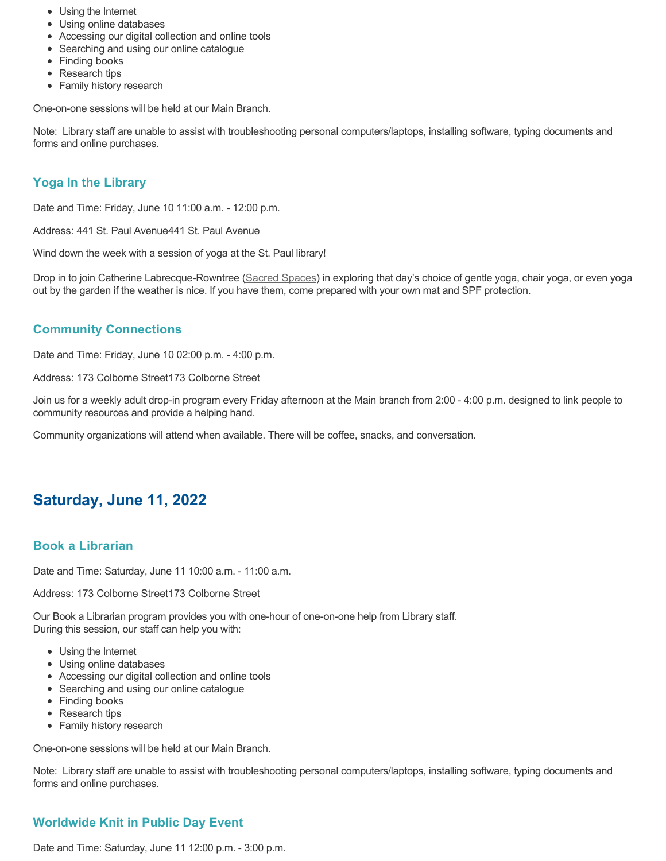- Using the Internet
- Using online databases
- Accessing our digital collection and online tools
- Searching and using our online catalogue
- Finding books
- Research tips
- Family history research

Note: Library staff are unable to assist with troubleshooting personal computers/laptops, installing software, typing documents and forms and online purchases.

### **Yoga In the Library**

Date and Time: Friday, June 10 11:00 a.m. - 12:00 p.m.

Address: 441 St. Paul Avenue441 St. Paul Avenue

Wind down the week with a session of yoga at the St. Paul library!

Drop in to join Catherine Labrecque-Rowntree ([Sacred Spaces](https://www.sacredspacesbrantford.ca/)) in exploring that day's choice of gentle yoga, chair yoga, or even yoga out by the garden if the weather is nice. If you have them, come prepared with your own mat and SPF protection.

### **Community Connections**

Date and Time: Friday, June 10 02:00 p.m. - 4:00 p.m.

Address: 173 Colborne Street173 Colborne Street

Join us for a weekly adult drop-in program every Friday afternoon at the Main branch from 2:00 - 4:00 p.m. designed to link people to community resources and provide a helping hand.

Community organizations will attend when available. There will be coffee, snacks, and conversation.

## **Saturday, June 11, 2022**

#### **Book a Librarian**

Date and Time: Saturday, June 11 10:00 a.m. - 11:00 a.m.

Address: 173 Colborne Street173 Colborne Street

Our Book a Librarian program provides you with one-hour of one-on-one help from Library staff. During this session, our staff can help you with:

- Using the Internet
- Using online databases
- Accessing our digital collection and online tools
- Searching and using our online catalogue
- Finding books
- Research tips
- Family history research

One-on-one sessions will be held at our Main Branch.

Note: Library staff are unable to assist with troubleshooting personal computers/laptops, installing software, typing documents and forms and online purchases.

### **Worldwide Knit in Public Day Event**

Date and Time: Saturday, June 11 12:00 p.m. - 3:00 p.m.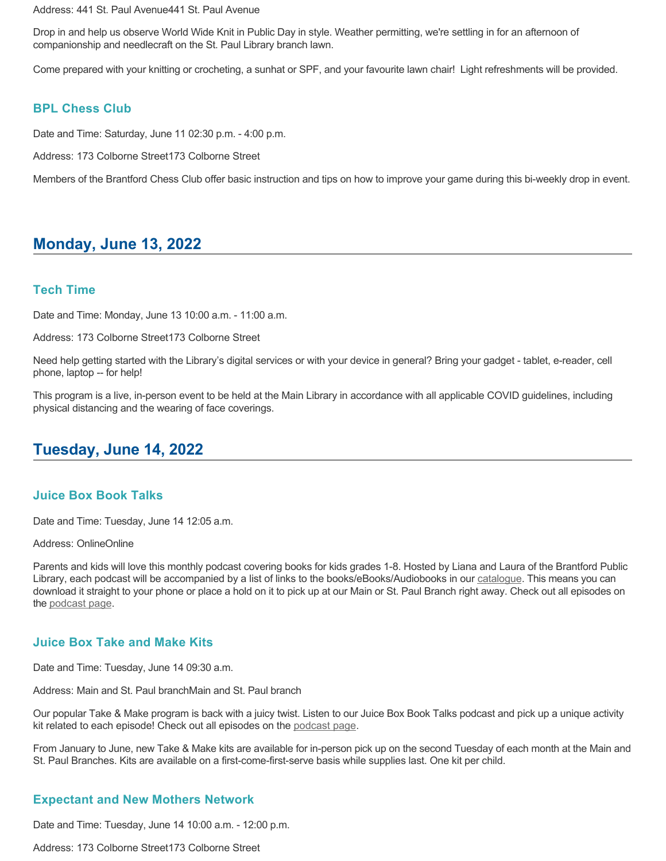Address: 441 St. Paul Avenue441 St. Paul Avenue

Drop in and help us observe World Wide Knit in Public Day in style. Weather permitting, we're settling in for an afternoon of companionship and needlecraft on the St. Paul Library branch lawn.

Come prepared with your knitting or crocheting, a sunhat or SPF, and your favourite lawn chair! Light refreshments will be provided.

#### **BPL Chess Club**

Date and Time: Saturday, June 11 02:30 p.m. - 4:00 p.m.

Address: 173 Colborne Street173 Colborne Street

Members of the Brantford Chess Club offer basic instruction and tips on how to improve your game during this bi-weekly drop in event.

## **Monday, June 13, 2022**

#### **Tech Time**

Date and Time: Monday, June 13 10:00 a.m. - 11:00 a.m.

Address: 173 Colborne Street173 Colborne Street

Need help getting started with the Library's digital services or with your device in general? Bring your gadget - tablet, e-reader, cell phone, laptop -- for help!

This program is a live, in-person event to be held at the Main Library in accordance with all applicable COVID guidelines, including physical distancing and the wearing of face coverings.

## **Tuesday, June 14, 2022**

#### **Juice Box Book Talks**

Date and Time: Tuesday, June 14 12:05 a.m.

Address: OnlineOnline

Parents and kids will love this monthly podcast covering books for kids grades 1-8. Hosted by Liana and Laura of the Brantford Public Library, each podcast will be accompanied by a list of links to the books/eBooks/Audiobooks in our [catalogue.](https://brantford.bibliocommons.com/) This means you can download it straight to your phone or place a hold on it to pick up at our Main or St. Paul Branch right away. Check out all episodes on the [podcast page.](https://www.brantfordlibrary.ca/en/whats-happening/juice-box-book-talks.aspx)

#### **Juice Box Take and Make Kits**

Date and Time: Tuesday, June 14 09:30 a.m.

Address: Main and St. Paul branchMain and St. Paul branch

Our popular Take & Make program is back with a juicy twist. Listen to our Juice Box Book Talks podcast and pick up a unique activity kit related to each episode! Check out all episodes on the [podcast page.](https://www.brantfordlibrary.ca/en/whats-happening/juice-box-book-talks.aspx)

From January to June, new Take & Make kits are available for in-person pick up on the second Tuesday of each month at the Main and St. Paul Branches. Kits are available on a first-come-first-serve basis while supplies last. One kit per child.

#### **Expectant and New Mothers Network**

Date and Time: Tuesday, June 14 10:00 a.m. - 12:00 p.m.

Address: 173 Colborne Street173 Colborne Street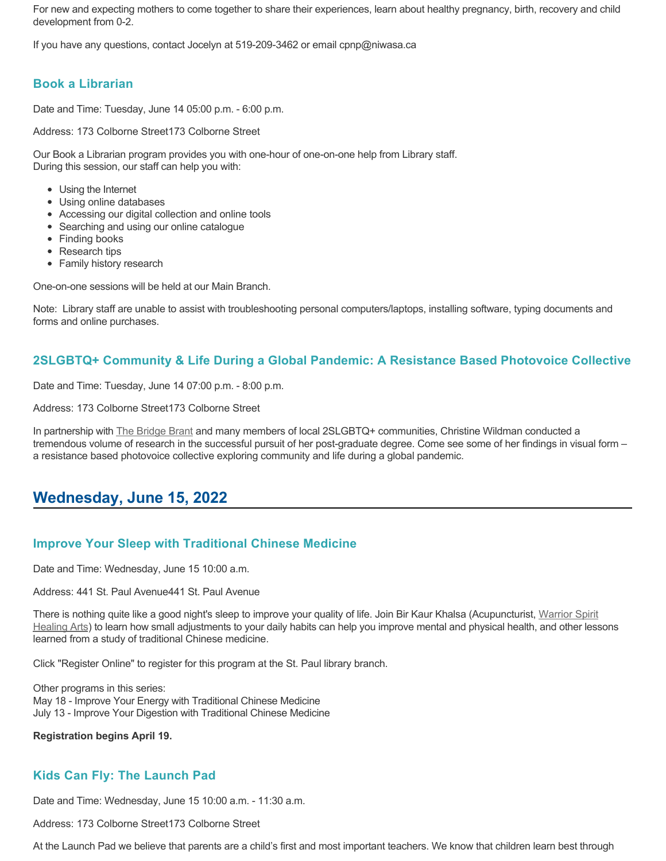For new and expecting mothers to come together to share their experiences, learn about healthy pregnancy, birth, recovery and child development from 0-2.

If you have any questions, contact Jocelyn at 519-209-3462 or email cpnp@niwasa.ca

### **Book a Librarian**

Date and Time: Tuesday, June 14 05:00 p.m. - 6:00 p.m.

Address: 173 Colborne Street173 Colborne Street

Our Book a Librarian program provides you with one-hour of one-on-one help from Library staff. During this session, our staff can help you with:

- Using the Internet
- Using online databases
- Accessing our digital collection and online tools
- Searching and using our online catalogue
- Finding books
- Research tips
- Family history research

One-on-one sessions will be held at our Main Branch.

Note: Library staff are unable to assist with troubleshooting personal computers/laptops, installing software, typing documents and forms and online purchases.

#### **2SLGBTQ+ Community & Life During a Global Pandemic: A Resistance Based Photovoice Collective**

Date and Time: Tuesday, June 14 07:00 p.m. - 8:00 p.m.

Address: 173 Colborne Street173 Colborne Street

In partnership with [The Bridge Brant](https://www.thebridgebrant.com/) and many members of local 2SLGBTQ+ communities, Christine Wildman conducted a tremendous volume of research in the successful pursuit of her post-graduate degree. Come see some of her findings in visual form – a resistance based photovoice collective exploring community and life during a global pandemic.

## **Wednesday, June 15, 2022**

#### **Improve Your Sleep with Traditional Chinese Medicine**

Date and Time: Wednesday, June 15 10:00 a.m.

Address: 441 St. Paul Avenue441 St. Paul Avenue

[There is nothing quite like a good night's sleep to improve your quality of life. Join Bir Kaur Khalsa \(Acupuncturist, Warrior Spirit](https://warriorspirithealingarts.ca/) Healing Arts) to learn how small adjustments to your daily habits can help you improve mental and physical health, and other lessons learned from a study of traditional Chinese medicine.

Click "Register Online" to register for this program at the St. Paul library branch.

Other programs in this series: May 18 - Improve Your Energy with Traditional Chinese Medicine July 13 - Improve Your Digestion with Traditional Chinese Medicine

**Registration begins April 19.**

### **Kids Can Fly: The Launch Pad**

Date and Time: Wednesday, June 15 10:00 a.m. - 11:30 a.m.

Address: 173 Colborne Street173 Colborne Street

At the Launch Pad we believe that parents are a child's first and most important teachers. We know that children learn best through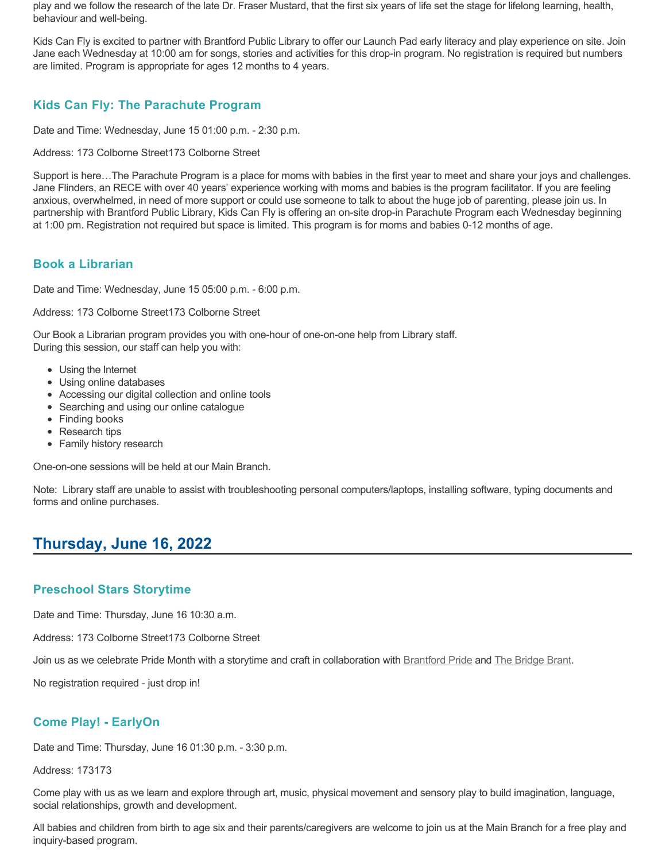play and we follow the research of the late Dr. Fraser Mustard, that the first six years of life set the stage for lifelong learning, health, behaviour and well-being.

Kids Can Fly is excited to partner with Brantford Public Library to offer our Launch Pad early literacy and play experience on site. Join Jane each Wednesday at 10:00 am for songs, stories and activities for this drop-in program. No registration is required but numbers are limited. Program is appropriate for ages 12 months to 4 years.

### **Kids Can Fly: The Parachute Program**

Date and Time: Wednesday, June 15 01:00 p.m. - 2:30 p.m.

Address: 173 Colborne Street173 Colborne Street

Support is here…The Parachute Program is a place for moms with babies in the first year to meet and share your joys and challenges. Jane Flinders, an RECE with over 40 years' experience working with moms and babies is the program facilitator. If you are feeling anxious, overwhelmed, in need of more support or could use someone to talk to about the huge job of parenting, please join us. In partnership with Brantford Public Library, Kids Can Fly is offering an on-site drop-in Parachute Program each Wednesday beginning at 1:00 pm. Registration not required but space is limited. This program is for moms and babies 0-12 months of age.

### **Book a Librarian**

Date and Time: Wednesday, June 15 05:00 p.m. - 6:00 p.m.

Address: 173 Colborne Street173 Colborne Street

Our Book a Librarian program provides you with one-hour of one-on-one help from Library staff. During this session, our staff can help you with:

- Using the Internet
- Using online databases
- Accessing our digital collection and online tools
- Searching and using our online catalogue
- Finding books
- Research tips
- Family history research

One-on-one sessions will be held at our Main Branch.

Note: Library staff are unable to assist with troubleshooting personal computers/laptops, installing software, typing documents and forms and online purchases.

# **Thursday, June 16, 2022**

### **Preschool Stars Storytime**

Date and Time: Thursday, June 16 10:30 a.m.

Address: 173 Colborne Street173 Colborne Street

Join us as we celebrate Pride Month with a storytime and craft in collaboration with [Brantford Pride](https://brantfordpride.ca/about) and [The Bridge Brant](https://www.thebridgebrant.com/).

No registration required - just drop in!

### **Come Play! - EarlyOn**

Date and Time: Thursday, June 16 01:30 p.m. - 3:30 p.m.

Address: 173173

Come play with us as we learn and explore through art, music, physical movement and sensory play to build imagination, language, social relationships, growth and development.

All babies and children from birth to age six and their parents/caregivers are welcome to join us at the Main Branch for a free play and inquiry-based program.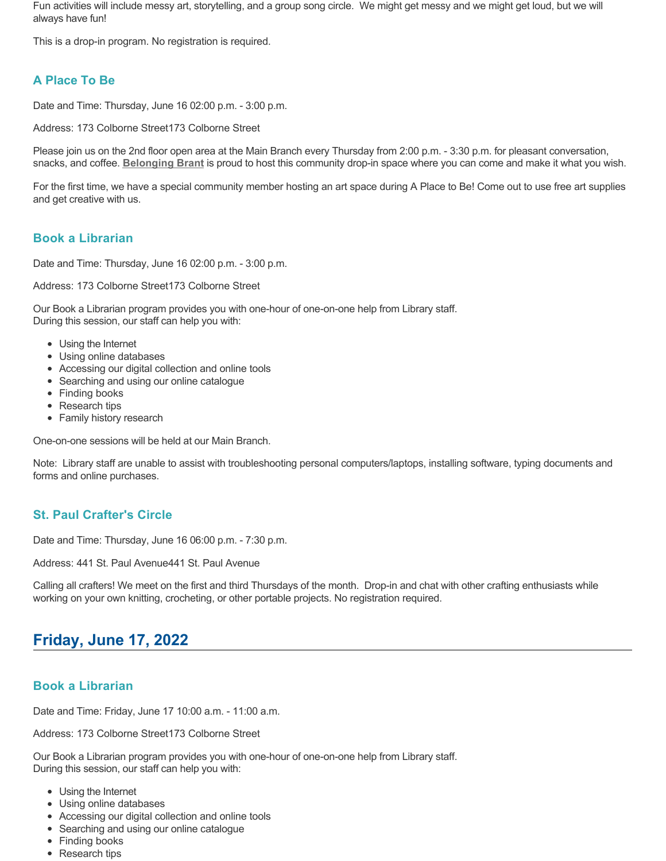Fun activities will include messy art, storytelling, and a group song circle. We might get messy and we might get loud, but we will always have fun!

This is a drop-in program. No registration is required.

## **A Place To Be**

Date and Time: Thursday, June 16 02:00 p.m. - 3:00 p.m.

Address: 173 Colborne Street173 Colborne Street

Please join us on the 2nd floor open area at the Main Branch every Thursday from 2:00 p.m. - 3:30 p.m. for pleasant conversation, snacks, and coffee. **[Belonging Brant](https://www.facebook.com/BelongingBrant/)** is proud to host this community drop-in space where you can come and make it what you wish.

For the first time, we have a special community member hosting an art space during A Place to Be! Come out to use free art supplies and get creative with us.

### **Book a Librarian**

Date and Time: Thursday, June 16 02:00 p.m. - 3:00 p.m.

Address: 173 Colborne Street173 Colborne Street

Our Book a Librarian program provides you with one-hour of one-on-one help from Library staff. During this session, our staff can help you with:

- Using the Internet
- Using online databases
- Accessing our digital collection and online tools
- Searching and using our online catalogue
- Finding books
- Research tips
- Family history research

One-on-one sessions will be held at our Main Branch.

Note: Library staff are unable to assist with troubleshooting personal computers/laptops, installing software, typing documents and forms and online purchases.

### **St. Paul Crafter's Circle**

Date and Time: Thursday, June 16 06:00 p.m. - 7:30 p.m.

Address: 441 St. Paul Avenue441 St. Paul Avenue

Calling all crafters! We meet on the first and third Thursdays of the month. Drop-in and chat with other crafting enthusiasts while working on your own knitting, crocheting, or other portable projects. No registration required.

# **Friday, June 17, 2022**

### **Book a Librarian**

Date and Time: Friday, June 17 10:00 a.m. - 11:00 a.m.

Address: 173 Colborne Street173 Colborne Street

- Using the Internet
- Using online databases
- Accessing our digital collection and online tools
- Searching and using our online catalogue
- Finding books
- 
- Research tips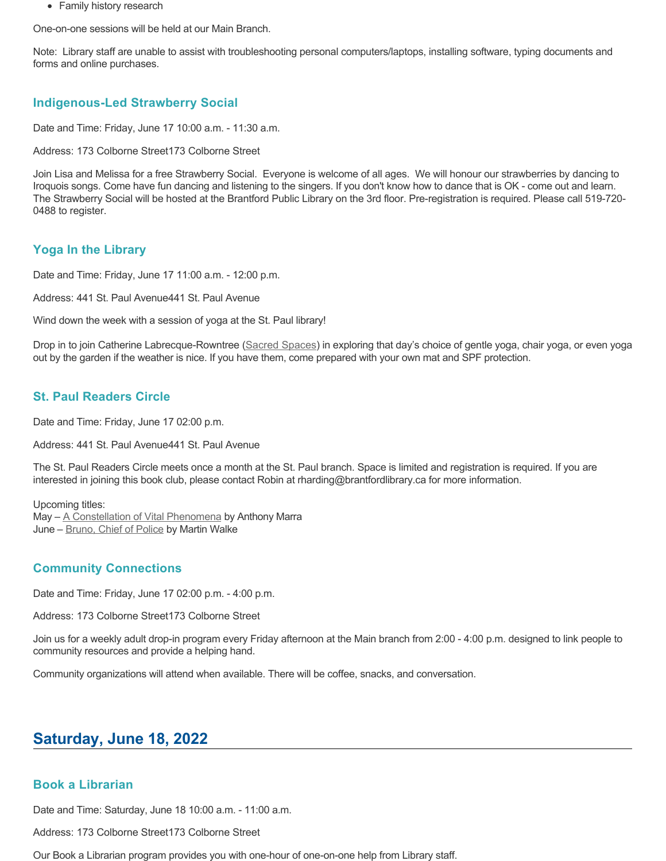• Family history research

One-on-one sessions will be held at our Main Branch.

Note: Library staff are unable to assist with troubleshooting personal computers/laptops, installing software, typing documents and forms and online purchases.

#### **Indigenous-Led Strawberry Social**

Date and Time: Friday, June 17 10:00 a.m. - 11:30 a.m.

Address: 173 Colborne Street173 Colborne Street

Join Lisa and Melissa for a free Strawberry Social. Everyone is welcome of all ages. We will honour our strawberries by dancing to Iroquois songs. Come have fun dancing and listening to the singers. If you don't know how to dance that is OK - come out and learn. The Strawberry Social will be hosted at the Brantford Public Library on the 3rd floor. Pre-registration is required. Please call 519-720- 0488 to register.

#### **Yoga In the Library**

Date and Time: Friday, June 17 11:00 a.m. - 12:00 p.m.

Address: 441 St. Paul Avenue441 St. Paul Avenue

Wind down the week with a session of yoga at the St. Paul library!

Drop in to join Catherine Labrecque-Rowntree ([Sacred Spaces](https://www.sacredspacesbrantford.ca/)) in exploring that day's choice of gentle yoga, chair yoga, or even yoga out by the garden if the weather is nice. If you have them, come prepared with your own mat and SPF protection.

#### **St. Paul Readers Circle**

Date and Time: Friday, June 17 02:00 p.m.

Address: 441 St. Paul Avenue441 St. Paul Avenue

The St. Paul Readers Circle meets once a month at the St. Paul branch. Space is limited and registration is required. If you are interested in joining this book club, please contact Robin at rharding@brantfordlibrary.ca for more information.

Upcoming titles:

May - [A Constellation of Vital Phenomena](https://brantford.bibliocommons.com/v2/record/S20C548998) by Anthony Marra June - [Bruno, Chief of Police](https://brantford.bibliocommons.com/v2/record/S20C371372) by Martin Walke

#### **Community Connections**

Date and Time: Friday, June 17 02:00 p.m. - 4:00 p.m.

Address: 173 Colborne Street173 Colborne Street

Join us for a weekly adult drop-in program every Friday afternoon at the Main branch from 2:00 - 4:00 p.m. designed to link people to community resources and provide a helping hand.

Community organizations will attend when available. There will be coffee, snacks, and conversation.

## **Saturday, June 18, 2022**

#### **Book a Librarian**

Date and Time: Saturday, June 18 10:00 a.m. - 11:00 a.m.

Address: 173 Colborne Street173 Colborne Street

Our Book a Librarian program provides you with one-hour of one-on-one help from Library staff.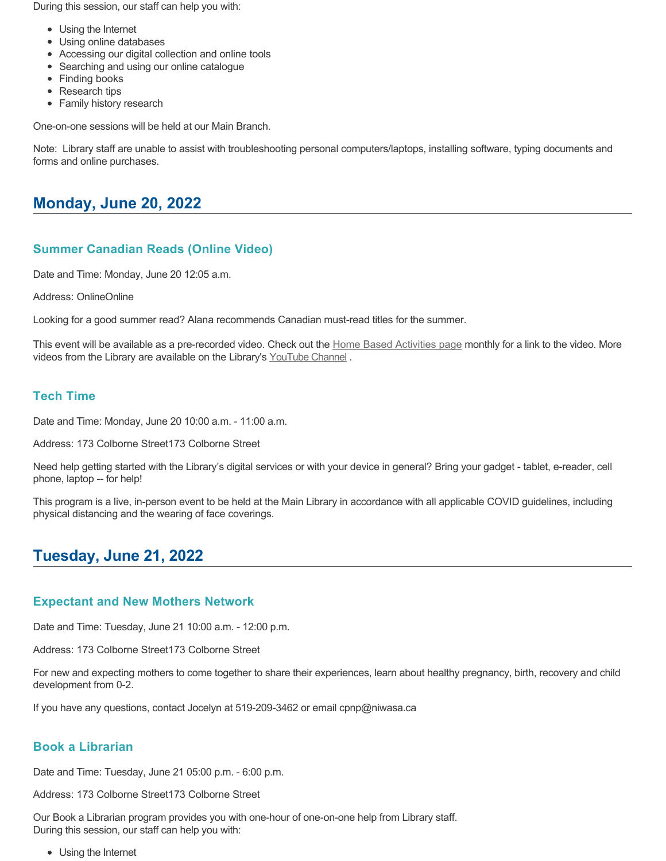During this session, our staff can help you with:

- Using the Internet
- Using online databases
- Accessing our digital collection and online tools
- Searching and using our online catalogue
- Finding books
- Research tips
- Family history research

One-on-one sessions will be held at our Main Branch.

Note: Library staff are unable to assist with troubleshooting personal computers/laptops, installing software, typing documents and forms and online purchases.

## **Monday, June 20, 2022**

### **Summer Canadian Reads (Online Video)**

Date and Time: Monday, June 20 12:05 a.m.

Address: OnlineOnline

Looking for a good summer read? Alana recommends Canadian must-read titles for the summer.

This event will be available as a pre-recorded video. Check out the [Home Based Activities page](https://www.brantfordlibrary.ca/en/whats-happening/home-based-activities.aspx) monthly for a link to the video. More videos from the Library are available on the Library's [YouTube Channel](https://www.youtube.com/channel/UCgB9YZwbhK6j8RpKnBv4oRw/videos).

#### **Tech Time**

Date and Time: Monday, June 20 10:00 a.m. - 11:00 a.m.

Address: 173 Colborne Street173 Colborne Street

Need help getting started with the Library's digital services or with your device in general? Bring your gadget - tablet, e-reader, cell phone, laptop -- for help!

This program is a live, in-person event to be held at the Main Library in accordance with all applicable COVID guidelines, including physical distancing and the wearing of face coverings.

## **Tuesday, June 21, 2022**

#### **Expectant and New Mothers Network**

Date and Time: Tuesday, June 21 10:00 a.m. - 12:00 p.m.

Address: 173 Colborne Street173 Colborne Street

For new and expecting mothers to come together to share their experiences, learn about healthy pregnancy, birth, recovery and child development from 0-2.

If you have any questions, contact Jocelyn at 519-209-3462 or email cpnp@niwasa.ca

#### **Book a Librarian**

Date and Time: Tuesday, June 21 05:00 p.m. - 6:00 p.m.

Address: 173 Colborne Street173 Colborne Street

Our Book a Librarian program provides you with one-hour of one-on-one help from Library staff. During this session, our staff can help you with:

• Using the Internet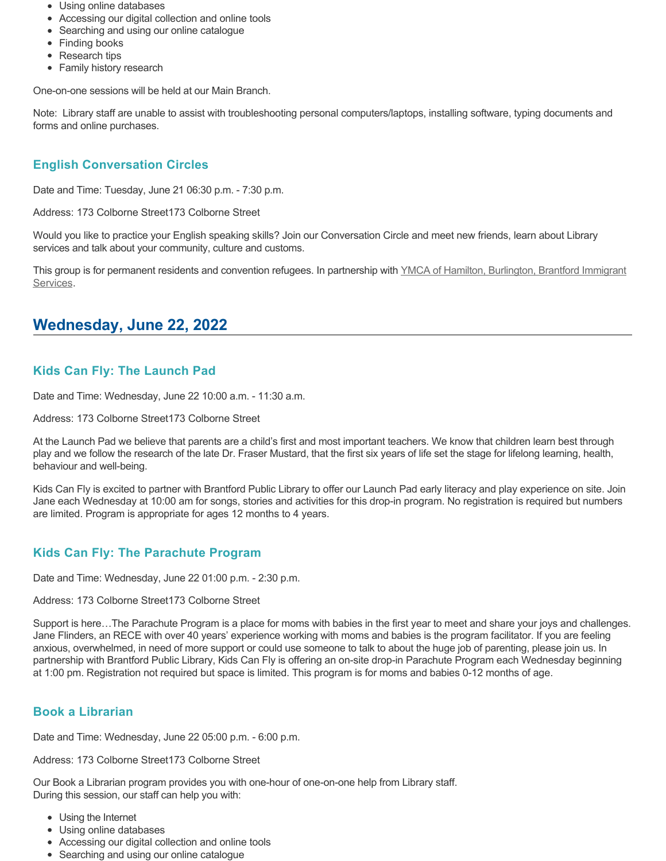- Using online databases
- Accessing our digital collection and online tools
- Searching and using our online catalogue
- Finding books
- Research tips
- Family history research

Note: Library staff are unable to assist with troubleshooting personal computers/laptops, installing software, typing documents and forms and online purchases.

## **English Conversation Circles**

Date and Time: Tuesday, June 21 06:30 p.m. - 7:30 p.m.

Address: 173 Colborne Street173 Colborne Street

Would you like to practice your English speaking skills? Join our Conversation Circle and meet new friends, learn about Library services and talk about your community, culture and customs.

[This group is for permanent residents and convention refugees. In partnership with YMCA of Hamilton, Burlington, Brantford Immigrant](https://www.ymcahbb.ca/locations/ymca-immigrant-services-brantford) Services.

## **Wednesday, June 22, 2022**

### **Kids Can Fly: The Launch Pad**

Date and Time: Wednesday, June 22 10:00 a.m. - 11:30 a.m.

Address: 173 Colborne Street173 Colborne Street

At the Launch Pad we believe that parents are a child's first and most important teachers. We know that children learn best through play and we follow the research of the late Dr. Fraser Mustard, that the first six years of life set the stage for lifelong learning, health, behaviour and well-being.

Kids Can Fly is excited to partner with Brantford Public Library to offer our Launch Pad early literacy and play experience on site. Join Jane each Wednesday at 10:00 am for songs, stories and activities for this drop-in program. No registration is required but numbers are limited. Program is appropriate for ages 12 months to 4 years.

### **Kids Can Fly: The Parachute Program**

Date and Time: Wednesday, June 22 01:00 p.m. - 2:30 p.m.

#### Address: 173 Colborne Street173 Colborne Street

Support is here…The Parachute Program is a place for moms with babies in the first year to meet and share your joys and challenges. Jane Flinders, an RECE with over 40 years' experience working with moms and babies is the program facilitator. If you are feeling anxious, overwhelmed, in need of more support or could use someone to talk to about the huge job of parenting, please join us. In partnership with Brantford Public Library, Kids Can Fly is offering an on-site drop-in Parachute Program each Wednesday beginning at 1:00 pm. Registration not required but space is limited. This program is for moms and babies 0-12 months of age.

### **Book a Librarian**

Date and Time: Wednesday, June 22 05:00 p.m. - 6:00 p.m.

Address: 173 Colborne Street173 Colborne Street

- Using the Internet
- Using online databases
- Accessing our digital collection and online tools
- Searching and using our online catalogue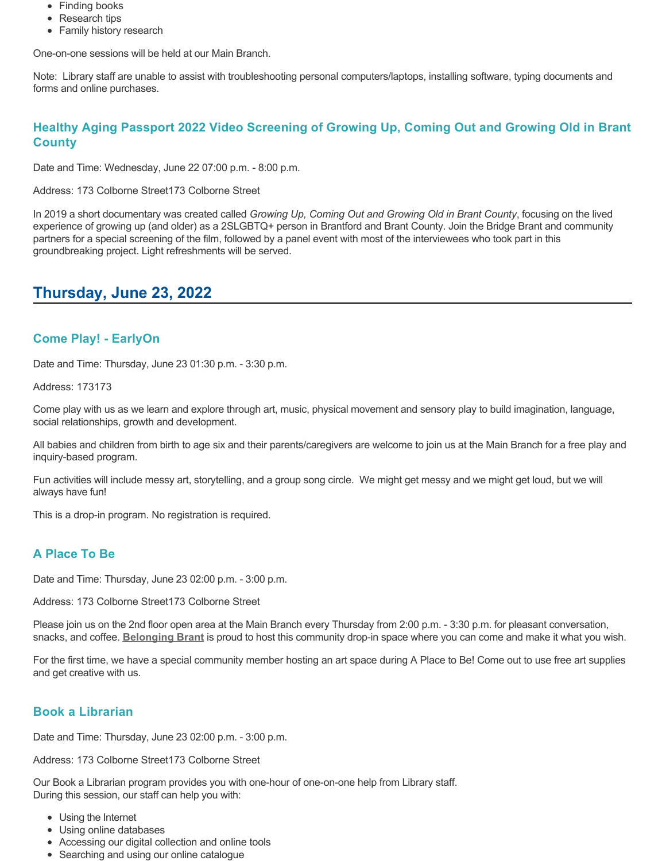- Finding books
- Research tips
- Family history research

Note: Library staff are unable to assist with troubleshooting personal computers/laptops, installing software, typing documents and forms and online purchases.

### **Healthy Aging Passport 2022 Video Screening of Growing Up, Coming Out and Growing Old in Brant County**

Date and Time: Wednesday, June 22 07:00 p.m. - 8:00 p.m.

Address: 173 Colborne Street173 Colborne Street

In 2019 a short documentary was created called *Growing Up, Coming Out and Growing Old in Brant County*, focusing on the lived experience of growing up (and older) as a 2SLGBTQ+ person in Brantford and Brant County. Join the Bridge Brant and community partners for a special screening of the film, followed by a panel event with most of the interviewees who took part in this groundbreaking project. Light refreshments will be served.

## **Thursday, June 23, 2022**

### **Come Play! - EarlyOn**

Date and Time: Thursday, June 23 01:30 p.m. - 3:30 p.m.

Address: 173173

Come play with us as we learn and explore through art, music, physical movement and sensory play to build imagination, language, social relationships, growth and development.

All babies and children from birth to age six and their parents/caregivers are welcome to join us at the Main Branch for a free play and inquiry-based program.

Fun activities will include messy art, storytelling, and a group song circle. We might get messy and we might get loud, but we will always have fun!

This is a drop-in program. No registration is required.

### **A Place To Be**

Date and Time: Thursday, June 23 02:00 p.m. - 3:00 p.m.

Address: 173 Colborne Street173 Colborne Street

Please join us on the 2nd floor open area at the Main Branch every Thursday from 2:00 p.m. - 3:30 p.m. for pleasant conversation, snacks, and coffee. **[Belonging Brant](https://www.facebook.com/BelongingBrant/)** is proud to host this community drop-in space where you can come and make it what you wish.

For the first time, we have a special community member hosting an art space during A Place to Be! Come out to use free art supplies and get creative with us.

### **Book a Librarian**

Date and Time: Thursday, June 23 02:00 p.m. - 3:00 p.m.

Address: 173 Colborne Street173 Colborne Street

- Using the Internet
- Using online databases
- Accessing our digital collection and online tools
- Searching and using our online catalogue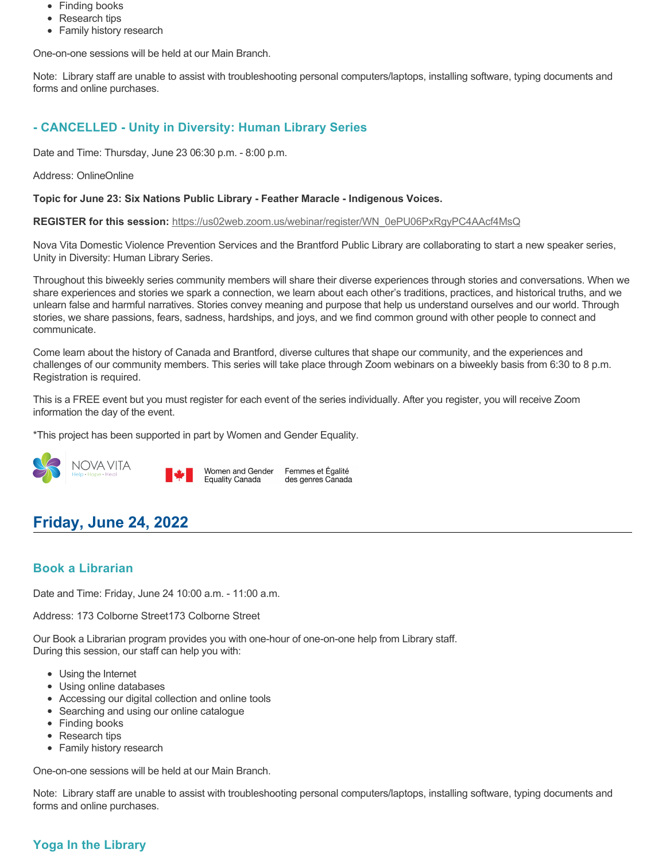- Finding books
- Research tips
- Family history research

Note: Library staff are unable to assist with troubleshooting personal computers/laptops, installing software, typing documents and forms and online purchases.

## **- CANCELLED - Unity in Diversity: Human Library Series**

Date and Time: Thursday, June 23 06:30 p.m. - 8:00 p.m.

Address: OnlineOnline

#### **Topic for June 23: Six Nations Public Library - Feather Maracle - Indigenous Voices.**

**REGISTER for this session:** [https://us02web.zoom.us/webinar/register/WN\\_0ePU06PxRgyPC4AAcf4MsQ](https://us02web.zoom.us/webinar/register/WN_0ePU06PxRgyPC4AAcf4MsQ)

Nova Vita Domestic Violence Prevention Services and the Brantford Public Library are collaborating to start a new speaker series, Unity in Diversity: Human Library Series.

Throughout this biweekly series community members will share their diverse experiences through stories and conversations. When we share experiences and stories we spark a connection, we learn about each other's traditions, practices, and historical truths, and we unlearn false and harmful narratives. Stories convey meaning and purpose that help us understand ourselves and our world. Through stories, we share passions, fears, sadness, hardships, and joys, and we find common ground with other people to connect and communicate.

Come learn about the history of Canada and Brantford, diverse cultures that shape our community, and the experiences and challenges of our community members. This series will take place through Zoom webinars on a biweekly basis from 6:30 to 8 p.m. Registration is required.

This is a FREE event but you must register for each event of the series individually. After you register, you will receive Zoom information the day of the event.

Femmes et Égalité

des genres Canada

\*This project has been supported in part by Women and Gender Equality.



# **Friday, June 24, 2022**

### **Book a Librarian**

Date and Time: Friday, June 24 10:00 a.m. - 11:00 a.m.

Address: 173 Colborne Street173 Colborne Street

Our Book a Librarian program provides you with one-hour of one-on-one help from Library staff. During this session, our staff can help you with:

- Using the Internet
- Using online databases
- Accessing our digital collection and online tools
- Searching and using our online catalogue
- Finding books
- Research tips
- Family history research

One-on-one sessions will be held at our Main Branch.

Note: Library staff are unable to assist with troubleshooting personal computers/laptops, installing software, typing documents and forms and online purchases.

### **Yoga In the Library**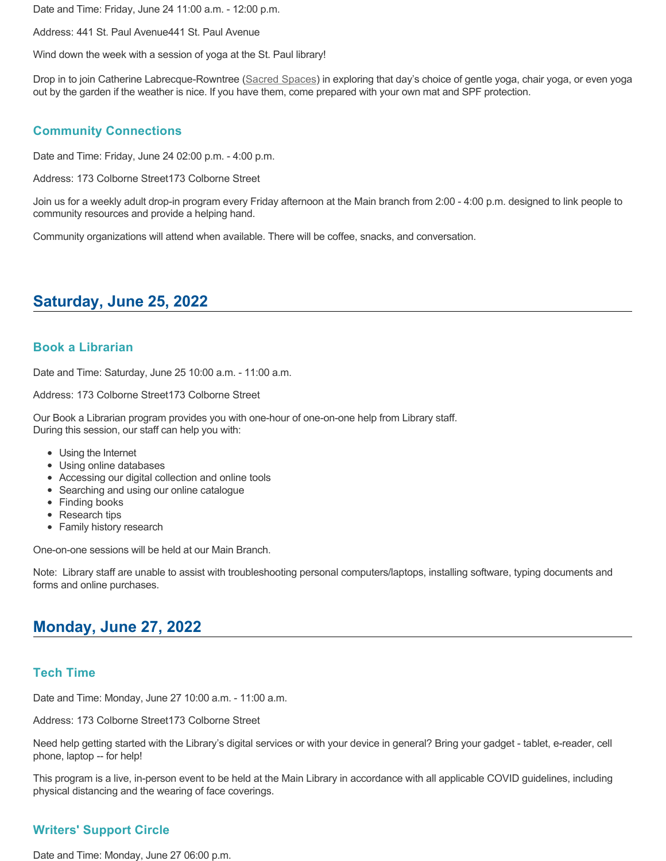Date and Time: Friday, June 24 11:00 a.m. - 12:00 p.m.

Address: 441 St. Paul Avenue441 St. Paul Avenue

Wind down the week with a session of yoga at the St. Paul library!

Drop in to join Catherine Labrecque-Rowntree ([Sacred Spaces](https://www.sacredspacesbrantford.ca/)) in exploring that day's choice of gentle yoga, chair yoga, or even yoga out by the garden if the weather is nice. If you have them, come prepared with your own mat and SPF protection.

### **Community Connections**

Date and Time: Friday, June 24 02:00 p.m. - 4:00 p.m.

Address: 173 Colborne Street173 Colborne Street

Join us for a weekly adult drop-in program every Friday afternoon at the Main branch from 2:00 - 4:00 p.m. designed to link people to community resources and provide a helping hand.

Community organizations will attend when available. There will be coffee, snacks, and conversation.

# **Saturday, June 25, 2022**

#### **Book a Librarian**

Date and Time: Saturday, June 25 10:00 a.m. - 11:00 a.m.

Address: 173 Colborne Street173 Colborne Street

Our Book a Librarian program provides you with one-hour of one-on-one help from Library staff. During this session, our staff can help you with:

- Using the Internet
- Using online databases
- Accessing our digital collection and online tools
- Searching and using our online catalogue
- Finding books
- Research tips
- Family history research

One-on-one sessions will be held at our Main Branch.

Note: Library staff are unable to assist with troubleshooting personal computers/laptops, installing software, typing documents and forms and online purchases.

# **Monday, June 27, 2022**

### **Tech Time**

Date and Time: Monday, June 27 10:00 a.m. - 11:00 a.m.

Address: 173 Colborne Street173 Colborne Street

Need help getting started with the Library's digital services or with your device in general? Bring your gadget - tablet, e-reader, cell phone, laptop -- for help!

This program is a live, in-person event to be held at the Main Library in accordance with all applicable COVID guidelines, including physical distancing and the wearing of face coverings.

### **Writers' Support Circle**

Date and Time: Monday, June 27 06:00 p.m.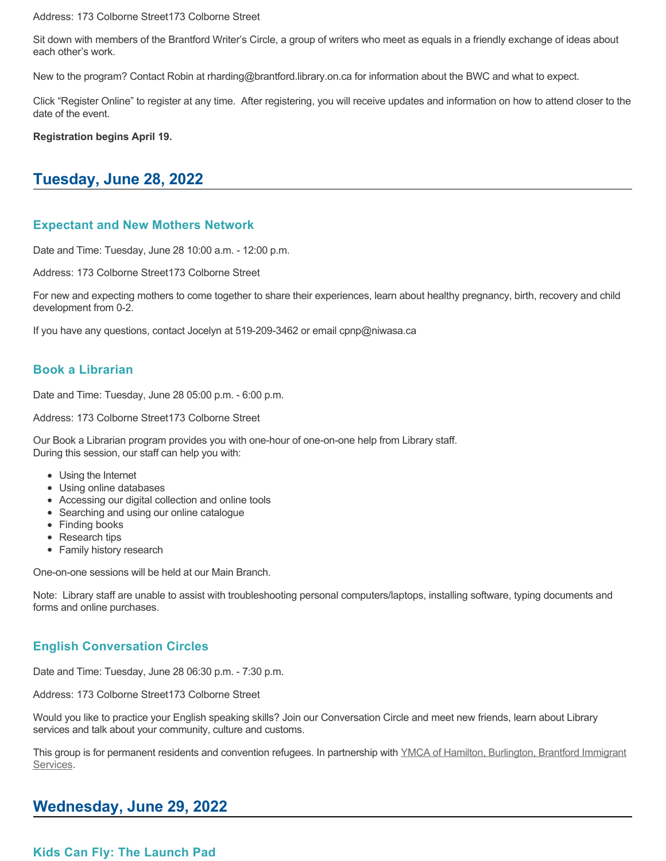Address: 173 Colborne Street173 Colborne Street

Sit down with members of the Brantford Writer's Circle, a group of writers who meet as equals in a friendly exchange of ideas about each other's work.

New to the program? Contact Robin at rharding@brantford.library.on.ca for information about the BWC and what to expect.

Click "Register Online" to register at any time. After registering, you will receive updates and information on how to attend closer to the date of the event.

**Registration begins April 19.**

# **Tuesday, June 28, 2022**

#### **Expectant and New Mothers Network**

Date and Time: Tuesday, June 28 10:00 a.m. - 12:00 p.m.

Address: 173 Colborne Street173 Colborne Street

For new and expecting mothers to come together to share their experiences, learn about healthy pregnancy, birth, recovery and child development from 0-2.

If you have any questions, contact Jocelyn at 519-209-3462 or email cpnp@niwasa.ca

### **Book a Librarian**

Date and Time: Tuesday, June 28 05:00 p.m. - 6:00 p.m.

Address: 173 Colborne Street173 Colborne Street

Our Book a Librarian program provides you with one-hour of one-on-one help from Library staff. During this session, our staff can help you with:

- Using the Internet
- Using online databases
- Accessing our digital collection and online tools
- Searching and using our online catalogue
- Finding books
- Research tips
- Family history research

One-on-one sessions will be held at our Main Branch.

Note: Library staff are unable to assist with troubleshooting personal computers/laptops, installing software, typing documents and forms and online purchases.

### **English Conversation Circles**

Date and Time: Tuesday, June 28 06:30 p.m. - 7:30 p.m.

Address: 173 Colborne Street173 Colborne Street

Would you like to practice your English speaking skills? Join our Conversation Circle and meet new friends, learn about Library services and talk about your community, culture and customs.

[This group is for permanent residents and convention refugees. In partnership with YMCA of Hamilton, Burlington, Brantford Immigrant](https://www.ymcahbb.ca/locations/ymca-immigrant-services-brantford) Services.

## **Wednesday, June 29, 2022**

**Kids Can Fly: The Launch Pad**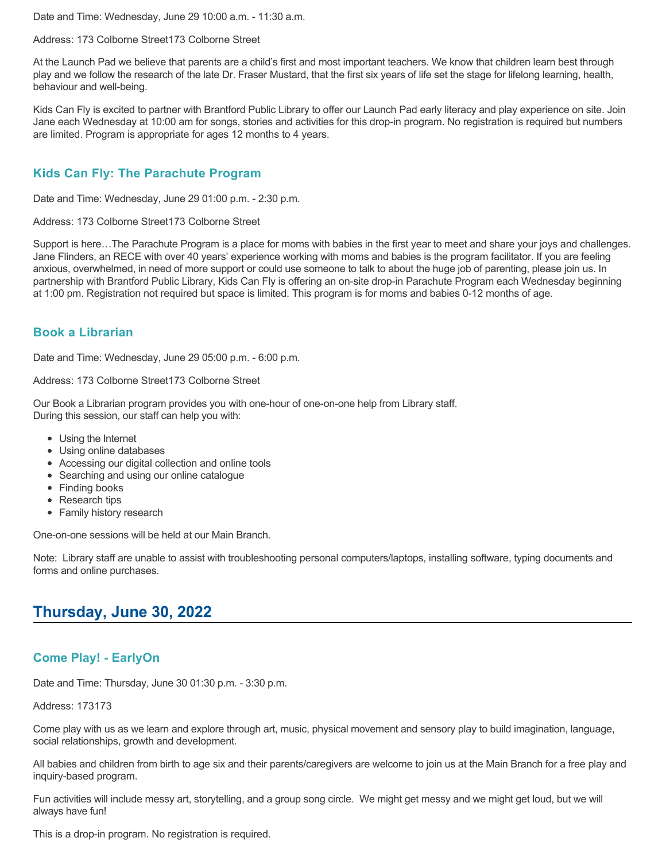Date and Time: Wednesday, June 29 10:00 a.m. - 11:30 a.m.

Address: 173 Colborne Street173 Colborne Street

At the Launch Pad we believe that parents are a child's first and most important teachers. We know that children learn best through play and we follow the research of the late Dr. Fraser Mustard, that the first six years of life set the stage for lifelong learning, health, behaviour and well-being.

Kids Can Fly is excited to partner with Brantford Public Library to offer our Launch Pad early literacy and play experience on site. Join Jane each Wednesday at 10:00 am for songs, stories and activities for this drop-in program. No registration is required but numbers are limited. Program is appropriate for ages 12 months to 4 years.

## **Kids Can Fly: The Parachute Program**

Date and Time: Wednesday, June 29 01:00 p.m. - 2:30 p.m.

Address: 173 Colborne Street173 Colborne Street

Support is here…The Parachute Program is a place for moms with babies in the first year to meet and share your joys and challenges. Jane Flinders, an RECE with over 40 years' experience working with moms and babies is the program facilitator. If you are feeling anxious, overwhelmed, in need of more support or could use someone to talk to about the huge job of parenting, please join us. In partnership with Brantford Public Library, Kids Can Fly is offering an on-site drop-in Parachute Program each Wednesday beginning at 1:00 pm. Registration not required but space is limited. This program is for moms and babies 0-12 months of age.

### **Book a Librarian**

Date and Time: Wednesday, June 29 05:00 p.m. - 6:00 p.m.

Address: 173 Colborne Street173 Colborne Street

Our Book a Librarian program provides you with one-hour of one-on-one help from Library staff. During this session, our staff can help you with:

- Using the Internet
- Using online databases
- Accessing our digital collection and online tools
- Searching and using our online catalogue
- Finding books
- Research tips
- Family history research

One-on-one sessions will be held at our Main Branch.

Note: Library staff are unable to assist with troubleshooting personal computers/laptops, installing software, typing documents and forms and online purchases.

## **Thursday, June 30, 2022**

### **Come Play! - EarlyOn**

Date and Time: Thursday, June 30 01:30 p.m. - 3:30 p.m.

Address: 173173

Come play with us as we learn and explore through art, music, physical movement and sensory play to build imagination, language, social relationships, growth and development.

All babies and children from birth to age six and their parents/caregivers are welcome to join us at the Main Branch for a free play and inquiry-based program.

Fun activities will include messy art, storytelling, and a group song circle. We might get messy and we might get loud, but we will always have fun!

This is a drop-in program. No registration is required.